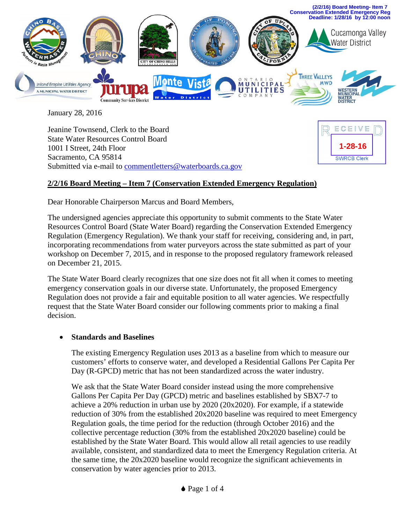

January 28, 2016

Jeanine Townsend, Clerk to the Board State Water Resources Control Board 1001 I Street, 24th Floor Sacramento, CA 95814 Submitted via e-mail to [commentletters@waterboards.ca.gov](mailto:commentletters@waterboards.ca.gov)



**(2/2/16) Board Meeting- Item 7**

#### **2/2/16 Board Meeting – Item 7 (Conservation Extended Emergency Regulation)**

Dear Honorable Chairperson Marcus and Board Members,

The undersigned agencies appreciate this opportunity to submit comments to the State Water Resources Control Board (State Water Board) regarding the Conservation Extended Emergency Regulation (Emergency Regulation). We thank your staff for receiving, considering and, in part, incorporating recommendations from water purveyors across the state submitted as part of your workshop on December 7, 2015, and in response to the proposed regulatory framework released on December 21, 2015.

The State Water Board clearly recognizes that one size does not fit all when it comes to meeting emergency conservation goals in our diverse state. Unfortunately, the proposed Emergency Regulation does not provide a fair and equitable position to all water agencies. We respectfully request that the State Water Board consider our following comments prior to making a final decision.

#### • **Standards and Baselines**

The existing Emergency Regulation uses 2013 as a baseline from which to measure our customers' efforts to conserve water, and developed a Residential Gallons Per Capita Per Day (R-GPCD) metric that has not been standardized across the water industry.

We ask that the State Water Board consider instead using the more comprehensive Gallons Per Capita Per Day (GPCD) metric and baselines established by SBX7-7 to achieve a 20% reduction in urban use by 2020 (20x2020). For example, if a statewide reduction of 30% from the established 20x2020 baseline was required to meet Emergency Regulation goals, the time period for the reduction (through October 2016) and the collective percentage reduction (30% from the established 20x2020 baseline) could be established by the State Water Board. This would allow all retail agencies to use readily available, consistent, and standardized data to meet the Emergency Regulation criteria. At the same time, the 20x2020 baseline would recognize the significant achievements in conservation by water agencies prior to 2013.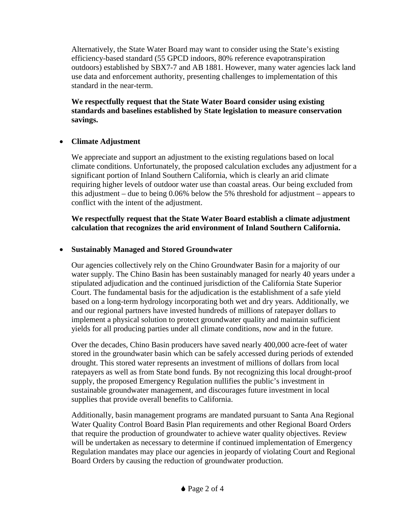Alternatively, the State Water Board may want to consider using the State's existing efficiency-based standard (55 GPCD indoors, 80% reference evapotranspiration outdoors) established by SBX7-7 and AB 1881. However, many water agencies lack land use data and enforcement authority, presenting challenges to implementation of this standard in the near-term.

**We respectfully request that the State Water Board consider using existing standards and baselines established by State legislation to measure conservation savings.** 

### • **Climate Adjustment**

We appreciate and support an adjustment to the existing regulations based on local climate conditions. Unfortunately, the proposed calculation excludes any adjustment for a significant portion of Inland Southern California, which is clearly an arid climate requiring higher levels of outdoor water use than coastal areas. Our being excluded from this adjustment – due to being 0.06% below the 5% threshold for adjustment – appears to conflict with the intent of the adjustment.

**We respectfully request that the State Water Board establish a climate adjustment calculation that recognizes the arid environment of Inland Southern California.** 

### • **Sustainably Managed and Stored Groundwater**

Our agencies collectively rely on the Chino Groundwater Basin for a majority of our water supply. The Chino Basin has been sustainably managed for nearly 40 years under a stipulated adjudication and the continued jurisdiction of the California State Superior Court. The fundamental basis for the adjudication is the establishment of a safe yield based on a long-term hydrology incorporating both wet and dry years. Additionally, we and our regional partners have invested hundreds of millions of ratepayer dollars to implement a physical solution to protect groundwater quality and maintain sufficient yields for all producing parties under all climate conditions, now and in the future.

Over the decades, Chino Basin producers have saved nearly 400,000 acre-feet of water stored in the groundwater basin which can be safely accessed during periods of extended drought. This stored water represents an investment of millions of dollars from local ratepayers as well as from State bond funds. By not recognizing this local drought-proof supply, the proposed Emergency Regulation nullifies the public's investment in sustainable groundwater management, and discourages future investment in local supplies that provide overall benefits to California.

Additionally, basin management programs are mandated pursuant to Santa Ana Regional Water Quality Control Board Basin Plan requirements and other Regional Board Orders that require the production of groundwater to achieve water quality objectives. Review will be undertaken as necessary to determine if continued implementation of Emergency Regulation mandates may place our agencies in jeopardy of violating Court and Regional Board Orders by causing the reduction of groundwater production.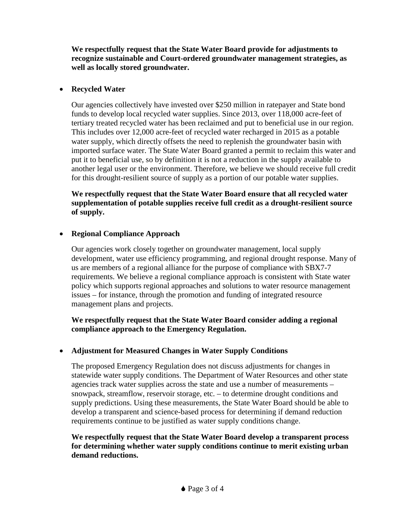**We respectfully request that the State Water Board provide for adjustments to recognize sustainable and Court-ordered groundwater management strategies, as well as locally stored groundwater.** 

#### • **Recycled Water**

Our agencies collectively have invested over \$250 million in ratepayer and State bond funds to develop local recycled water supplies. Since 2013, over 118,000 acre-feet of tertiary treated recycled water has been reclaimed and put to beneficial use in our region. This includes over 12,000 acre-feet of recycled water recharged in 2015 as a potable water supply, which directly offsets the need to replenish the groundwater basin with imported surface water. The State Water Board granted a permit to reclaim this water and put it to beneficial use, so by definition it is not a reduction in the supply available to another legal user or the environment. Therefore, we believe we should receive full credit for this drought-resilient source of supply as a portion of our potable water supplies.

#### **We respectfully request that the State Water Board ensure that all recycled water supplementation of potable supplies receive full credit as a drought-resilient source of supply.**

# • **Regional Compliance Approach**

Our agencies work closely together on groundwater management, local supply development, water use efficiency programming, and regional drought response. Many of us are members of a regional alliance for the purpose of compliance with SBX7-7 requirements. We believe a regional compliance approach is consistent with State water policy which supports regional approaches and solutions to water resource management issues – for instance, through the promotion and funding of integrated resource management plans and projects.

#### **We respectfully request that the State Water Board consider adding a regional compliance approach to the Emergency Regulation.**

# • **Adjustment for Measured Changes in Water Supply Conditions**

The proposed Emergency Regulation does not discuss adjustments for changes in statewide water supply conditions. The Department of Water Resources and other state agencies track water supplies across the state and use a number of measurements – snowpack, streamflow, reservoir storage, etc. – to determine drought conditions and supply predictions. Using these measurements, the State Water Board should be able to develop a transparent and science-based process for determining if demand reduction requirements continue to be justified as water supply conditions change.

#### **We respectfully request that the State Water Board develop a transparent process for determining whether water supply conditions continue to merit existing urban demand reductions.**